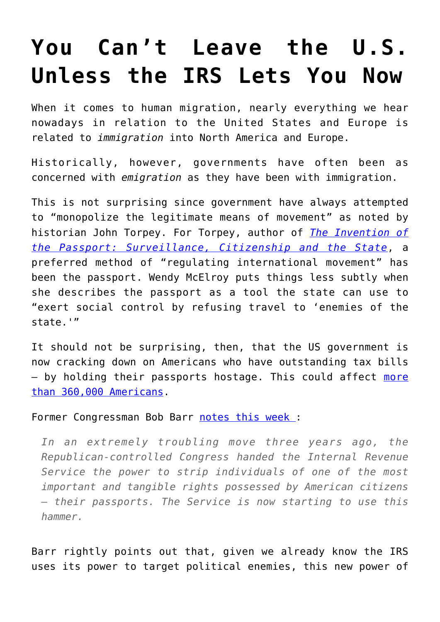# **[You Can't Leave the U.S.](https://intellectualtakeout.org/2018/07/you-cant-leave-the-u-s-unless-the-irs-lets-you-now/) [Unless the IRS Lets You Now](https://intellectualtakeout.org/2018/07/you-cant-leave-the-u-s-unless-the-irs-lets-you-now/)**

When it comes to human migration, nearly everything we hear nowadays in relation to the United States and Europe is related to *immigration* into North America and Europe.

Historically, however, governments have often been as concerned with *emigration* as they have been with immigration.

This is not surprising since government have always attempted to "monopolize the legitimate means of movement" as noted by historian John Torpey. For Torpey, author of *[The Invention of](https://www.amazon.com/Invention-Passport-Surveillance-Citizenship-Cambridge/dp/0521634938/?tag=misesinsti-20) [the Passport: Surveillance, Citizenship and the State](https://www.amazon.com/Invention-Passport-Surveillance-Citizenship-Cambridge/dp/0521634938/?tag=misesinsti-20)*, a preferred method of "regulating international movement" has been the passport. Wendy McElroy puts things less subtly when she describes the passport as a tool the state can use to "exert social control by refusing travel to 'enemies of the state.'"

It should not be surprising, then, that the US government is now cracking down on Americans who have outstanding tax bills - by holding their passports hostage. This could affect [more](http://time.com/money/5331714/irs-taxes-passport/) [than 360,000 Americans](http://time.com/money/5331714/irs-taxes-passport/).

#### Former Congressman Bob Barr [notes this week](https://townhall.com/columnists/bobbarr/2018/07/11/congress-colluded-with-irs-to-strip-citizens-of-passports-n2499137) :

*In an extremely troubling move three years ago, the Republican-controlled Congress handed the Internal Revenue Service the power to strip individuals of one of the most important and tangible rights possessed by American citizens – their passports. The Service is now starting to use this hammer.*

Barr rightly points out that, given we already know the IRS uses its power to target political enemies, this new power of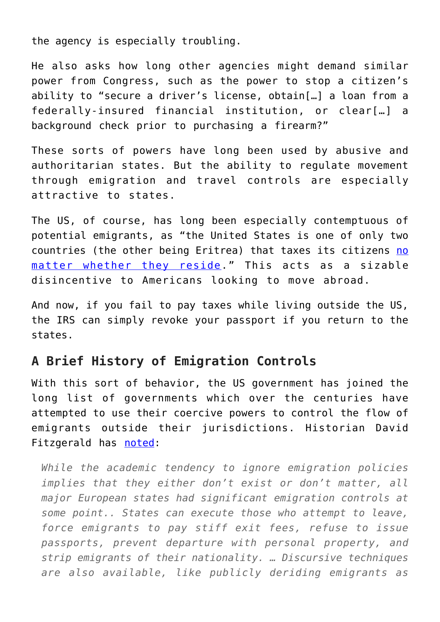the agency is especially troubling.

He also asks how long other agencies might demand similar power from Congress, such as the power to stop a citizen's ability to "secure a driver's license, obtain[…] a loan from a federally-insured financial institution, or clear[…] a background check prior to purchasing a firearm?"

These sorts of powers have long been used by abusive and authoritarian states. But the ability to regulate movement through emigration and travel controls are especially attractive to states.

The US, of course, has long been especially contemptuous of potential emigrants, as "the United States is one of only two countries (the other being Eritrea) that taxes its citizens [no](http://time.com/money/4298634/expat-expatriate-taxes-us-myths/) [matter whether they reside.](http://time.com/money/4298634/expat-expatriate-taxes-us-myths/)" This acts as a sizable disincentive to Americans looking to move abroad.

And now, if you fail to pay taxes while living outside the US, the IRS can simply revoke your passport if you return to the states.

### **A Brief History of Emigration Controls**

With this sort of behavior, the US government has joined the long list of governments which over the centuries have attempted to use their coercive powers to control the flow of emigrants outside their jurisdictions. Historian David Fitzgerald has [noted](https://ccis.ucsd.edu/_files/wp123.pdf):

*While the academic tendency to ignore emigration policies implies that they either don't exist or don't matter, all major European states had significant emigration controls at some point.. States can execute those who attempt to leave, force emigrants to pay stiff exit fees, refuse to issue passports, prevent departure with personal property, and strip emigrants of their nationality. … Discursive techniques are also available, like publicly deriding emigrants as*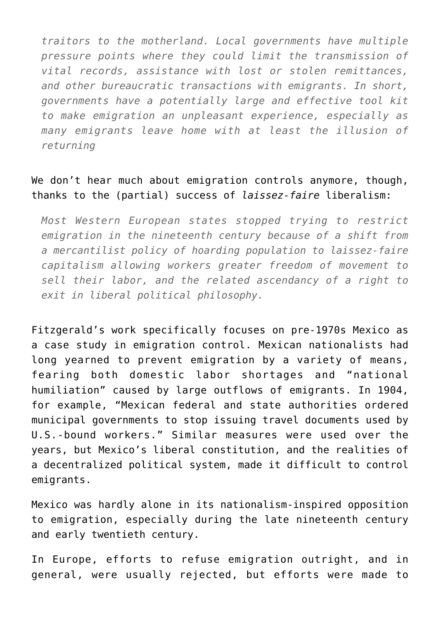*traitors to the motherland. Local governments have multiple pressure points where they could limit the transmission of vital records, assistance with lost or stolen remittances, and other bureaucratic transactions with emigrants. In short, governments have a potentially large and effective tool kit to make emigration an unpleasant experience, especially as many emigrants leave home with at least the illusion of returning*

#### We don't hear much about emigration controls anymore, though, thanks to the (partial) success of *laissez-faire* liberalism:

*Most Western European states stopped trying to restrict emigration in the nineteenth century because of a shift from a mercantilist policy of hoarding population to laissez-faire capitalism allowing workers greater freedom of movement to sell their labor, and the related ascendancy of a right to exit in liberal political philosophy.*

Fitzgerald's work specifically focuses on pre-1970s Mexico as a case study in emigration control. Mexican nationalists had long yearned to prevent emigration by a variety of means, fearing both domestic labor shortages and "national humiliation" caused by large outflows of emigrants. In 1904, for example, "Mexican federal and state authorities ordered municipal governments to stop issuing travel documents used by U.S.-bound workers." Similar measures were used over the years, but Mexico's liberal constitution, and the realities of a decentralized political system, made it difficult to control emigrants.

Mexico was hardly alone in its nationalism-inspired opposition to emigration, especially during the late nineteenth century and early twentieth century.

In Europe, efforts to refuse emigration outright, and in general, were usually rejected, but efforts were made to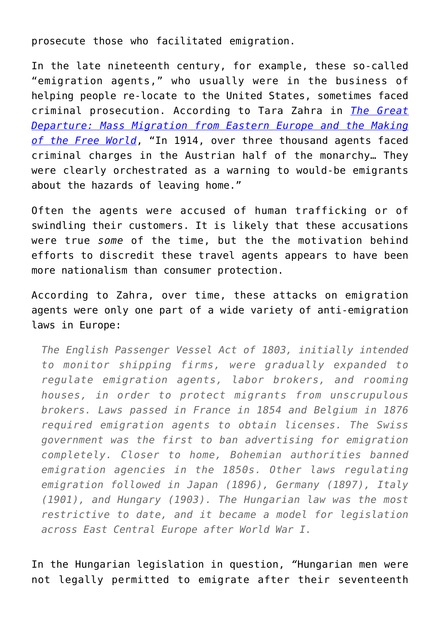prosecute those who facilitated emigration.

In the late nineteenth century, for example, these so-called "emigration agents," who usually were in the business of helping people re-locate to the United States, sometimes faced criminal prosecution. According to Tara Zahra in *[The Great](https://www.amazon.com/Great-Departure-Migration-Eastern-Europe/dp/0393353729) [Departure: Mass Migration from Eastern Europe and the Making](https://www.amazon.com/Great-Departure-Migration-Eastern-Europe/dp/0393353729) [of the Free World](https://www.amazon.com/Great-Departure-Migration-Eastern-Europe/dp/0393353729)*, "In 1914, over three thousand agents faced criminal charges in the Austrian half of the monarchy… They were clearly orchestrated as a warning to would-be emigrants about the hazards of leaving home."

Often the agents were accused of human trafficking or of swindling their customers. It is likely that these accusations were true *some* of the time, but the the motivation behind efforts to discredit these travel agents appears to have been more nationalism than consumer protection.

According to Zahra, over time, these attacks on emigration agents were only one part of a wide variety of anti-emigration laws in Europe:

*The English Passenger Vessel Act of 1803, initially intended to monitor shipping firms, were gradually expanded to regulate emigration agents, labor brokers, and rooming houses, in order to protect migrants from unscrupulous brokers. Laws passed in France in 1854 and Belgium in 1876 required emigration agents to obtain licenses. The Swiss government was the first to ban advertising for emigration completely. Closer to home, Bohemian authorities banned emigration agencies in the 1850s. Other laws regulating emigration followed in Japan (1896), Germany (1897), Italy (1901), and Hungary (1903). The Hungarian law was the most restrictive to date, and it became a model for legislation across East Central Europe after World War I.*

In the Hungarian legislation in question, *"*Hungarian men were not legally permitted to emigrate after their seventeenth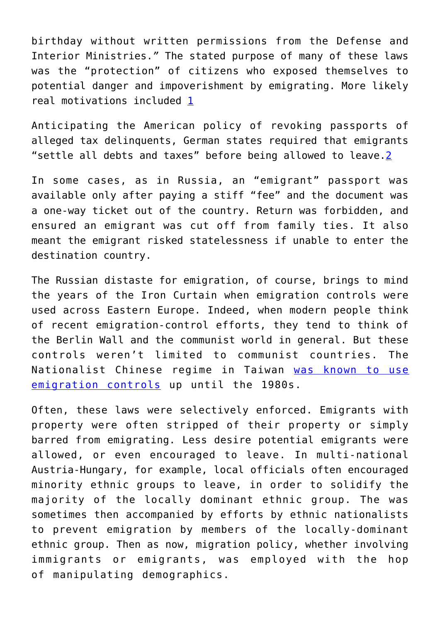birthday without written permissions from the Defense and Interior Ministries.*"* The stated purpose of many of these laws was the "protection" of citizens who exposed themselves to potential danger and impoverishment by emigrating. More likely real motivations included [1](https://mises.org/wire/you-now-cant-leave-us-unless-irs-lets-you#footnote1_tqefs1m)

Anticipating the American policy of revoking passports of alleged tax delinquents, German states required that emigrants "settle all debts and taxes" before being allowed to leave.<sup>2</sup>

In some cases, as in Russia, an "emigrant" passport was available only after paying a stiff "fee" and the document was a one-way ticket out of the country. Return was forbidden, and ensured an emigrant was cut off from family ties. It also meant the emigrant risked statelessness if unable to enter the destination country.

The Russian distaste for emigration, of course, brings to mind the years of the Iron Curtain when emigration controls were used across Eastern Europe. Indeed, when modern people think of recent emigration-control efforts, they tend to think of the Berlin Wall and the communist world in general. But these controls weren't limited to communist countries. The Nationalist Chinese regime in Taiwan [was known to use](https://books.google.com/books?id=a-5IDwAAQBAJ&pg=PA225&dq=emigration+controls+in+cold+war&hl=en&sa=X&ved=0ahUKEwiM7J3N_pfcAhXkMewKHV7iChoQ6AEIMDAB#v=onepage&q=nationalist%20emigration%20controls&f=false) [emigration controls](https://books.google.com/books?id=a-5IDwAAQBAJ&pg=PA225&dq=emigration+controls+in+cold+war&hl=en&sa=X&ved=0ahUKEwiM7J3N_pfcAhXkMewKHV7iChoQ6AEIMDAB#v=onepage&q=nationalist%20emigration%20controls&f=false) up until the 1980s.

Often, these laws were selectively enforced. Emigrants with property were often stripped of their property or simply barred from emigrating. Less desire potential emigrants were allowed, or even encouraged to leave. In multi-national Austria-Hungary, for example, local officials often encouraged minority ethnic groups to leave, in order to solidify the majority of the locally dominant ethnic group. The was sometimes then accompanied by efforts by ethnic nationalists to prevent emigration by members of the locally-dominant ethnic group. Then as now, migration policy, whether involving immigrants or emigrants, was employed with the hop of manipulating demographics.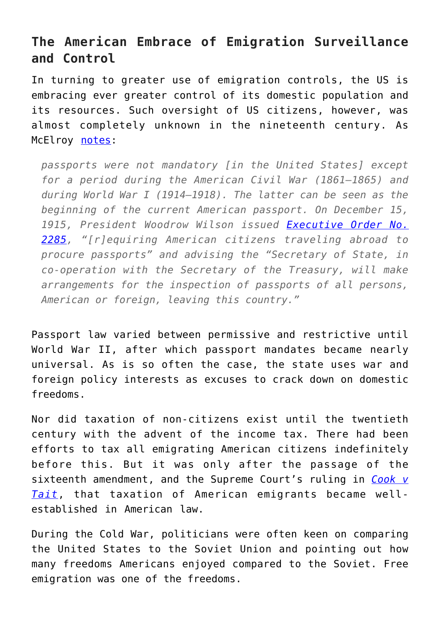## **The American Embrace of Emigration Surveillance and Control**

In turning to greater use of emigration controls, the US is embracing ever greater control of its domestic population and its resources. Such oversight of US citizens, however, was almost completely unknown in the nineteenth century. As McElroy [notes](https://mises.org/library/passport-total-state):

*passports were not mandatory [in the United States] except for a period during the American Civil War (1861–1865) and during World War I (1914–1918). The latter can be seen as the beginning of the current American passport. On December 15, 1915, President Woodrow Wilson issued [Executive Order No.](http://www.conservativeusa.org/eo/1915/eo2285.htm) [2285,](http://www.conservativeusa.org/eo/1915/eo2285.htm) "[r]equiring American citizens traveling abroad to procure passports" and advising the "Secretary of State, in co-operation with the Secretary of the Treasury, will make arrangements for the inspection of passports of all persons, American or foreign, leaving this country."*

Passport law varied between permissive and restrictive until World War II, after which passport mandates became nearly universal. As is so often the case, the state uses war and foreign policy interests as excuses to crack down on domestic freedoms.

Nor did taxation of non-citizens exist until the twentieth century with the advent of the income tax. There had been efforts to tax all emigrating American citizens indefinitely before this. But it was only after the passage of the sixteenth amendment, and the Supreme Court's ruling in *[Cook v](https://www.jstor.org/stable/1065765?seq=1#page_scan_tab_contents) [Tait](https://www.jstor.org/stable/1065765?seq=1#page_scan_tab_contents)*, that taxation of American emigrants became wellestablished in American law.

During the Cold War, politicians were often keen on comparing the United States to the Soviet Union and pointing out how many freedoms Americans enjoyed compared to the Soviet. Free emigration was one of the freedoms.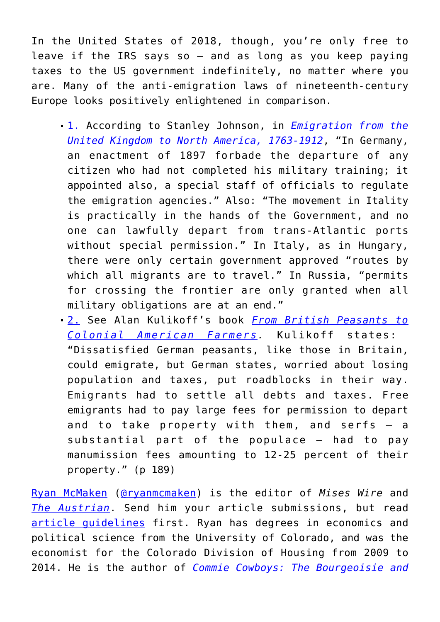In the United States of 2018, though, you're only free to leave if the IRS says so  $-$  and as long as you keep paying taxes to the US government indefinitely, no matter where you are. Many of the anti-emigration laws of nineteenth-century Europe looks positively enlightened in comparison.

- [1.](https://mises.org/wire/you-now-cant-leave-us-unless-irs-lets-you#footnoteref1_tqefs1m) According to Stanley Johnson, in *[Emigration from the](https://books.google.com/books?id=PfO1AQAAQBAJ&pg=PR16&dq=emigration+laws+-immigration&hl=en&sa=X&ved=0ahUKEwj249P92vnbAhU0IjQIHQI5CMAQ6AEINjAD#v=onepage&q=swiss%20emigration&f=false) [United Kingdom to North America, 1763-1912](https://books.google.com/books?id=PfO1AQAAQBAJ&pg=PR16&dq=emigration+laws+-immigration&hl=en&sa=X&ved=0ahUKEwj249P92vnbAhU0IjQIHQI5CMAQ6AEINjAD#v=onepage&q=swiss%20emigration&f=false)*, "In Germany, an enactment of 1897 forbade the departure of any citizen who had not completed his military training; it appointed also, a special staff of officials to regulate the emigration agencies." Also: "The movement in Itality is practically in the hands of the Government, and no one can lawfully depart from trans-Atlantic ports without special permission." In Italy, as in Hungary, there were only certain government approved "routes by which all migrants are to travel." In Russia, "permits for crossing the frontier are only granted when all military obligations are at an end."
- [2.](https://mises.org/wire/you-now-cant-leave-us-unless-irs-lets-you#footnoteref2_s4cdggc) See Alan Kulikoff's book *[From British Peasants to](https://www.amazon.com/British-Peasants-Colonial-American-Farmers/dp/0807848824/?tag=misesinsti-20) [Colonial American Farmers.](https://www.amazon.com/British-Peasants-Colonial-American-Farmers/dp/0807848824/?tag=misesinsti-20)* Kulikoff states: "Dissatisfied German peasants, like those in Britain, could emigrate, but German states, worried about losing population and taxes, put roadblocks in their way. Emigrants had to settle all debts and taxes. Free emigrants had to pay large fees for permission to depart and to take property with them, and serfs – a substantial part of the populace – had to pay manumission fees amounting to 12-25 percent of their property." (p 189)

[Ryan McMaken](https://mises.org/profile/ryan-mcmaken) ([@ryanmcmaken\)](https://twitter.com/ryanmcmaken) is the editor of *Mises Wire* and *[The Austrian](https://mises.org/search/site/the%20austrian/library/institute-publications-184/library/austrian-541)*. Send him your article submissions, but read [article guidelines](https://mises.org/blog/article-submission-guidelines-mises-daily) first. Ryan has degrees in economics and political science from the University of Colorado, and was the economist for the Colorado Division of Housing from 2009 to 2014. He is the author of *[Commie Cowboys: The Bourgeoisie and](http://store.mises.org/Commie-Cowboys-The-Bourgeoisie-and-the-Nation-State-in-the-Western-Genre-Digital-Book-P10923.aspx)*